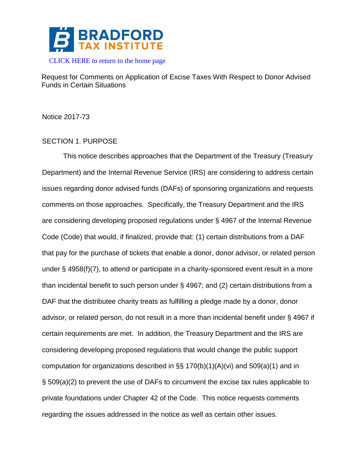

Request for Comments on Application of Excise Taxes With Respect to Donor Advised Funds in Certain Situations

Notice 2017-73

# SECTION 1. PURPOSE

This notice describes approaches that the Department of the Treasury (Treasury Department) and the Internal Revenue Service (IRS) are considering to address certain issues regarding donor advised funds (DAFs) of sponsoring organizations and requests comments on those approaches. Specifically, the Treasury Department and the IRS are considering developing proposed regulations under § 4967 of the Internal Revenue Code (Code) that would, if finalized, provide that: (1) certain distributions from a DAF that pay for the purchase of tickets that enable a donor, donor advisor, or related person under § 4958(f)(7), to attend or participate in a charity-sponsored event result in a more than incidental benefit to such person under § 4967; and (2) certain distributions from a DAF that the distributee charity treats as fulfilling a pledge made by a donor, donor advisor, or related person, do not result in a more than incidental benefit under § 4967 if certain requirements are met. In addition, the Treasury Department and the IRS are considering developing proposed regulations that would change the public support computation for organizations described in §§ 170(b)(1)(A)(vi) and 509(a)(1) and in § 509(a)(2) to prevent the use of DAFs to circumvent the excise tax rules applicable to private foundations under Chapter 42 of the Code. This notice requests comments regarding the issues addressed in the notice as well as certain other issues.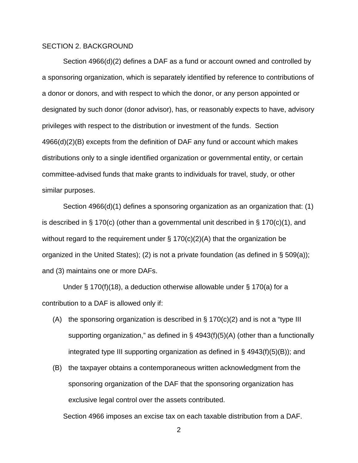## SECTION 2. BACKGROUND

Section 4966(d)(2) defines a DAF as a fund or account owned and controlled by a sponsoring organization, which is separately identified by reference to contributions of a donor or donors, and with respect to which the donor, or any person appointed or designated by such donor (donor advisor), has, or reasonably expects to have, advisory privileges with respect to the distribution or investment of the funds. Section 4966(d)(2)(B) excepts from the definition of DAF any fund or account which makes distributions only to a single identified organization or governmental entity, or certain committee-advised funds that make grants to individuals for travel, study, or other similar purposes.

Section 4966(d)(1) defines a sponsoring organization as an organization that: (1) is described in § 170(c) (other than a governmental unit described in § 170(c)(1), and without regard to the requirement under § 170(c)(2)(A) that the organization be organized in the United States); (2) is not a private foundation (as defined in § 509(a)); and (3) maintains one or more DAFs.

Under § 170(f)(18), a deduction otherwise allowable under § 170(a) for a contribution to a DAF is allowed only if:

- (A) the sponsoring organization is described in  $\S 170(c)(2)$  and is not a "type III supporting organization," as defined in § 4943(f)(5)(A) (other than a functionally integrated type III supporting organization as defined in  $\S$  4943(f)(5)(B)); and
- (B) the taxpayer obtains a contemporaneous written acknowledgment from the sponsoring organization of the DAF that the sponsoring organization has exclusive legal control over the assets contributed.

Section 4966 imposes an excise tax on each taxable distribution from a DAF.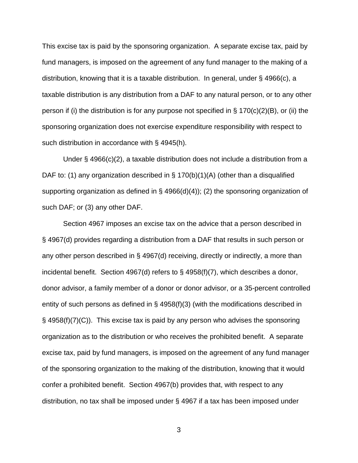This excise tax is paid by the sponsoring organization. A separate excise tax, paid by fund managers, is imposed on the agreement of any fund manager to the making of a distribution, knowing that it is a taxable distribution. In general, under § 4966(c), a taxable distribution is any distribution from a DAF to any natural person, or to any other person if (i) the distribution is for any purpose not specified in § 170(c)(2)(B), or (ii) the sponsoring organization does not exercise expenditure responsibility with respect to such distribution in accordance with § 4945(h).

Under § 4966(c)(2), a taxable distribution does not include a distribution from a DAF to: (1) any organization described in  $\S$  170(b)(1)(A) (other than a disqualified supporting organization as defined in  $\S$  4966(d)(4)); (2) the sponsoring organization of such DAF; or (3) any other DAF.

Section 4967 imposes an excise tax on the advice that a person described in § 4967(d) provides regarding a distribution from a DAF that results in such person or any other person described in § 4967(d) receiving, directly or indirectly, a more than incidental benefit. Section 4967(d) refers to § 4958(f)(7), which describes a donor, donor advisor, a family member of a donor or donor advisor, or a 35-percent controlled entity of such persons as defined in  $\S$  4958(f)(3) (with the modifications described in § 4958(f)(7)(C)). This excise tax is paid by any person who advises the sponsoring organization as to the distribution or who receives the prohibited benefit. A separate excise tax, paid by fund managers, is imposed on the agreement of any fund manager of the sponsoring organization to the making of the distribution, knowing that it would confer a prohibited benefit. Section 4967(b) provides that, with respect to any distribution, no tax shall be imposed under § 4967 if a tax has been imposed under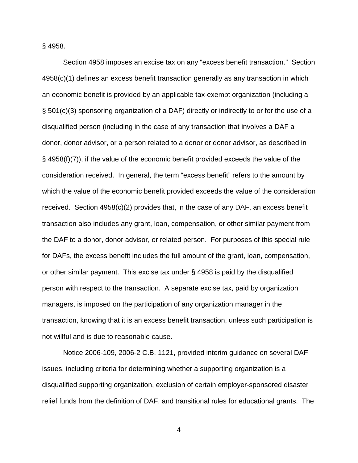§ 4958.

Section 4958 imposes an excise tax on any "excess benefit transaction." Section 4958(c)(1) defines an excess benefit transaction generally as any transaction in which an economic benefit is provided by an applicable tax-exempt organization (including a § 501(c)(3) sponsoring organization of a DAF) directly or indirectly to or for the use of a disqualified person (including in the case of any transaction that involves a DAF a donor, donor advisor, or a person related to a donor or donor advisor, as described in § 4958(f)(7)), if the value of the economic benefit provided exceeds the value of the consideration received. In general, the term "excess benefit" refers to the amount by which the value of the economic benefit provided exceeds the value of the consideration received. Section  $4958(c)(2)$  provides that, in the case of any DAF, an excess benefit transaction also includes any grant, loan, compensation, or other similar payment from the DAF to a donor, donor advisor, or related person. For purposes of this special rule for DAFs, the excess benefit includes the full amount of the grant, loan, compensation, or other similar payment. This excise tax under § 4958 is paid by the disqualified person with respect to the transaction. A separate excise tax, paid by organization managers, is imposed on the participation of any organization manager in the transaction, knowing that it is an excess benefit transaction, unless such participation is not willful and is due to reasonable cause.

Notice 2006-109, 2006-2 C.B. 1121, provided interim guidance on several DAF issues, including criteria for determining whether a supporting organization is a disqualified supporting organization, exclusion of certain employer-sponsored disaster relief funds from the definition of DAF, and transitional rules for educational grants. The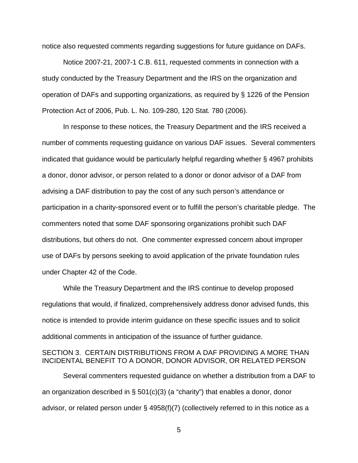notice also requested comments regarding suggestions for future guidance on DAFs.

Notice 2007-21, 2007-1 C.B. 611, requested comments in connection with a study conducted by the Treasury Department and the IRS on the organization and operation of DAFs and supporting organizations, as required by § 1226 of the Pension Protection Act of 2006, Pub. L. No. 109-280, 120 Stat. 780 (2006).

In response to these notices, the Treasury Department and the IRS received a number of comments requesting guidance on various DAF issues. Several commenters indicated that guidance would be particularly helpful regarding whether § 4967 prohibits a donor, donor advisor, or person related to a donor or donor advisor of a DAF from advising a DAF distribution to pay the cost of any such person's attendance or participation in a charity-sponsored event or to fulfill the person's charitable pledge. The commenters noted that some DAF sponsoring organizations prohibit such DAF distributions, but others do not. One commenter expressed concern about improper use of DAFs by persons seeking to avoid application of the private foundation rules under Chapter 42 of the Code.

While the Treasury Department and the IRS continue to develop proposed regulations that would, if finalized, comprehensively address donor advised funds, this notice is intended to provide interim guidance on these specific issues and to solicit additional comments in anticipation of the issuance of further guidance.

### SECTION 3. CERTAIN DISTRIBUTIONS FROM A DAF PROVIDING A MORE THAN INCIDENTAL BENEFIT TO A DONOR, DONOR ADVISOR, OR RELATED PERSON

Several commenters requested guidance on whether a distribution from a DAF to an organization described in  $\S$  501(c)(3) (a "charity") that enables a donor, donor advisor, or related person under § 4958(f)(7) (collectively referred to in this notice as a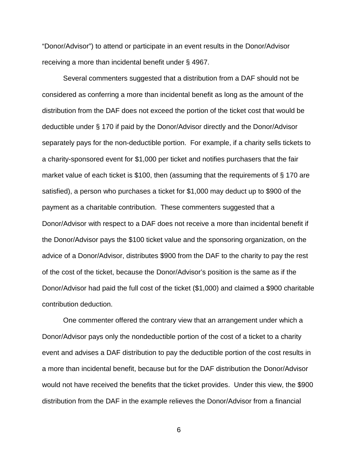"Donor/Advisor") to attend or participate in an event results in the Donor/Advisor receiving a more than incidental benefit under § 4967.

Several commenters suggested that a distribution from a DAF should not be considered as conferring a more than incidental benefit as long as the amount of the distribution from the DAF does not exceed the portion of the ticket cost that would be deductible under § 170 if paid by the Donor/Advisor directly and the Donor/Advisor separately pays for the non-deductible portion. For example, if a charity sells tickets to a charity-sponsored event for \$1,000 per ticket and notifies purchasers that the fair market value of each ticket is \$100, then (assuming that the requirements of § 170 are satisfied), a person who purchases a ticket for \$1,000 may deduct up to \$900 of the payment as a charitable contribution. These commenters suggested that a Donor/Advisor with respect to a DAF does not receive a more than incidental benefit if the Donor/Advisor pays the \$100 ticket value and the sponsoring organization, on the advice of a Donor/Advisor, distributes \$900 from the DAF to the charity to pay the rest of the cost of the ticket, because the Donor/Advisor's position is the same as if the Donor/Advisor had paid the full cost of the ticket (\$1,000) and claimed a \$900 charitable contribution deduction.

One commenter offered the contrary view that an arrangement under which a Donor/Advisor pays only the nondeductible portion of the cost of a ticket to a charity event and advises a DAF distribution to pay the deductible portion of the cost results in a more than incidental benefit, because but for the DAF distribution the Donor/Advisor would not have received the benefits that the ticket provides. Under this view, the \$900 distribution from the DAF in the example relieves the Donor/Advisor from a financial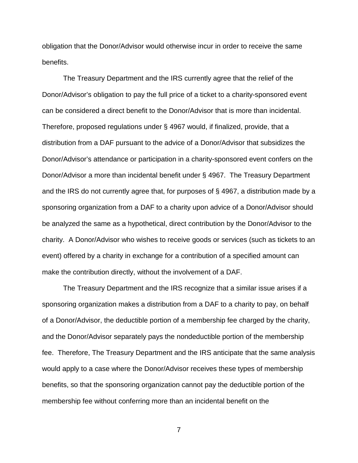obligation that the Donor/Advisor would otherwise incur in order to receive the same benefits.

The Treasury Department and the IRS currently agree that the relief of the Donor/Advisor's obligation to pay the full price of a ticket to a charity-sponsored event can be considered a direct benefit to the Donor/Advisor that is more than incidental. Therefore, proposed regulations under § 4967 would, if finalized, provide, that a distribution from a DAF pursuant to the advice of a Donor/Advisor that subsidizes the Donor/Advisor's attendance or participation in a charity-sponsored event confers on the Donor/Advisor a more than incidental benefit under § 4967. The Treasury Department and the IRS do not currently agree that, for purposes of § 4967, a distribution made by a sponsoring organization from a DAF to a charity upon advice of a Donor/Advisor should be analyzed the same as a hypothetical, direct contribution by the Donor/Advisor to the charity. A Donor/Advisor who wishes to receive goods or services (such as tickets to an event) offered by a charity in exchange for a contribution of a specified amount can make the contribution directly, without the involvement of a DAF.

The Treasury Department and the IRS recognize that a similar issue arises if a sponsoring organization makes a distribution from a DAF to a charity to pay, on behalf of a Donor/Advisor, the deductible portion of a membership fee charged by the charity, and the Donor/Advisor separately pays the nondeductible portion of the membership fee. Therefore, The Treasury Department and the IRS anticipate that the same analysis would apply to a case where the Donor/Advisor receives these types of membership benefits, so that the sponsoring organization cannot pay the deductible portion of the membership fee without conferring more than an incidental benefit on the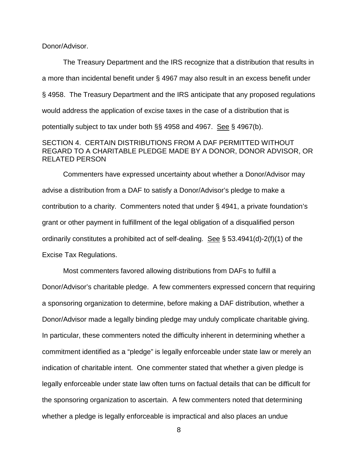Donor/Advisor.

The Treasury Department and the IRS recognize that a distribution that results in a more than incidental benefit under § 4967 may also result in an excess benefit under § 4958. The Treasury Department and the IRS anticipate that any proposed regulations would address the application of excise taxes in the case of a distribution that is potentially subject to tax under both §§ 4958 and 4967. See § 4967(b).

## SECTION 4. CERTAIN DISTRIBUTIONS FROM A DAF PERMITTED WITHOUT REGARD TO A CHARITABLE PLEDGE MADE BY A DONOR, DONOR ADVISOR, OR RELATED PERSON

Commenters have expressed uncertainty about whether a Donor/Advisor may advise a distribution from a DAF to satisfy a Donor/Advisor's pledge to make a contribution to a charity. Commenters noted that under § 4941, a private foundation's grant or other payment in fulfillment of the legal obligation of a disqualified person ordinarily constitutes a prohibited act of self-dealing. See § 53.4941(d)-2(f)(1) of the Excise Tax Regulations.

Most commenters favored allowing distributions from DAFs to fulfill a Donor/Advisor's charitable pledge. A few commenters expressed concern that requiring a sponsoring organization to determine, before making a DAF distribution, whether a Donor/Advisor made a legally binding pledge may unduly complicate charitable giving. In particular, these commenters noted the difficulty inherent in determining whether a commitment identified as a "pledge" is legally enforceable under state law or merely an indication of charitable intent. One commenter stated that whether a given pledge is legally enforceable under state law often turns on factual details that can be difficult for the sponsoring organization to ascertain. A few commenters noted that determining whether a pledge is legally enforceable is impractical and also places an undue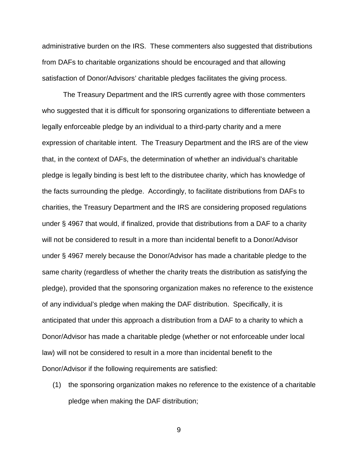administrative burden on the IRS. These commenters also suggested that distributions from DAFs to charitable organizations should be encouraged and that allowing satisfaction of Donor/Advisors' charitable pledges facilitates the giving process.

The Treasury Department and the IRS currently agree with those commenters who suggested that it is difficult for sponsoring organizations to differentiate between a legally enforceable pledge by an individual to a third-party charity and a mere expression of charitable intent. The Treasury Department and the IRS are of the view that, in the context of DAFs, the determination of whether an individual's charitable pledge is legally binding is best left to the distributee charity, which has knowledge of the facts surrounding the pledge. Accordingly, to facilitate distributions from DAFs to charities, the Treasury Department and the IRS are considering proposed regulations under § 4967 that would, if finalized, provide that distributions from a DAF to a charity will not be considered to result in a more than incidental benefit to a Donor/Advisor under § 4967 merely because the Donor/Advisor has made a charitable pledge to the same charity (regardless of whether the charity treats the distribution as satisfying the pledge), provided that the sponsoring organization makes no reference to the existence of any individual's pledge when making the DAF distribution. Specifically, it is anticipated that under this approach a distribution from a DAF to a charity to which a Donor/Advisor has made a charitable pledge (whether or not enforceable under local law) will not be considered to result in a more than incidental benefit to the Donor/Advisor if the following requirements are satisfied:

(1) the sponsoring organization makes no reference to the existence of a charitable pledge when making the DAF distribution;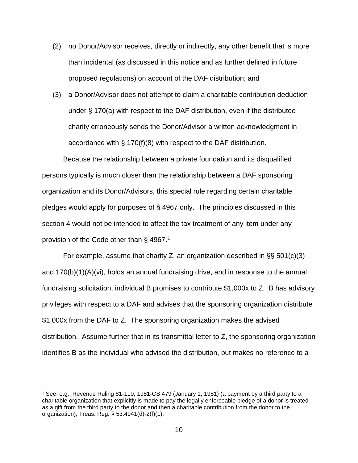- (2) no Donor/Advisor receives, directly or indirectly, any other benefit that is more than incidental (as discussed in this notice and as further defined in future proposed regulations) on account of the DAF distribution; and
- (3) a Donor/Advisor does not attempt to claim a charitable contribution deduction under § 170(a) with respect to the DAF distribution, even if the distributee charity erroneously sends the Donor/Advisor a written acknowledgment in accordance with § 170(f)(8) with respect to the DAF distribution.

Because the relationship between a private foundation and its disqualified persons typically is much closer than the relationship between a DAF sponsoring organization and its Donor/Advisors, this special rule regarding certain charitable pledges would apply for purposes of § 4967 only. The principles discussed in this section 4 would not be intended to affect the tax treatment of any item under any provision of the Code other than § 4967.[1](#page-9-0)

For example, assume that charity Z, an organization described in §§ 501(c)(3) and 170(b)(1)(A)(vi), holds an annual fundraising drive, and in response to the annual fundraising solicitation, individual B promises to contribute \$1,000x to Z. B has advisory privileges with respect to a DAF and advises that the sponsoring organization distribute \$1,000x from the DAF to Z. The sponsoring organization makes the advised distribution. Assume further that in its transmittal letter to Z, the sponsoring organization identifies B as the individual who advised the distribution, but makes no reference to a

 $\overline{a}$ 

<span id="page-9-0"></span><sup>1</sup> See, e.g., Revenue Ruling 81-110, 1981-CB 479 (January 1, 1981) (a payment by a third party to a charitable organization that explicitly is made to pay the legally enforceable pledge of a donor is treated as a gift from the third party to the donor and then a charitable contribution from the donor to the organization); Treas. Reg. § 53.4941(d)-2(f)(1).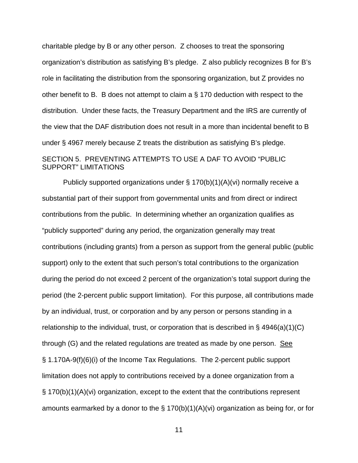charitable pledge by B or any other person. Z chooses to treat the sponsoring organization's distribution as satisfying B's pledge. Z also publicly recognizes B for B's role in facilitating the distribution from the sponsoring organization, but Z provides no other benefit to B. B does not attempt to claim a § 170 deduction with respect to the distribution. Under these facts, the Treasury Department and the IRS are currently of the view that the DAF distribution does not result in a more than incidental benefit to B under § 4967 merely because Z treats the distribution as satisfying B's pledge. SECTION 5. PREVENTING ATTEMPTS TO USE A DAF TO AVOID "PUBLIC SUPPORT" LIMITATIONS

Publicly supported organizations under § 170(b)(1)(A)(vi) normally receive a substantial part of their support from governmental units and from direct or indirect contributions from the public. In determining whether an organization qualifies as "publicly supported" during any period, the organization generally may treat contributions (including grants) from a person as support from the general public (public support) only to the extent that such person's total contributions to the organization during the period do not exceed 2 percent of the organization's total support during the period (the 2-percent public support limitation). For this purpose, all contributions made by an individual, trust, or corporation and by any person or persons standing in a relationship to the individual, trust, or corporation that is described in  $\S$  4946(a)(1)(C) through (G) and the related regulations are treated as made by one person. See § 1.170A-9(f)(6)(i) of the Income Tax Regulations. The 2-percent public support limitation does not apply to contributions received by a donee organization from a § 170(b)(1)(A)(vi) organization, except to the extent that the contributions represent amounts earmarked by a donor to the  $\S$  170(b)(1)(A)(vi) organization as being for, or for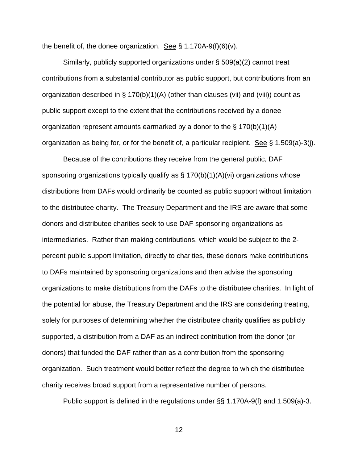the benefit of, the donee organization. See  $\S$  1.170A-9(f)(6)(v).

Similarly, publicly supported organizations under § 509(a)(2) cannot treat contributions from a substantial contributor as public support, but contributions from an organization described in § 170(b)(1)(A) (other than clauses (vii) and (viii)) count as public support except to the extent that the contributions received by a donee organization represent amounts earmarked by a donor to the  $\S 170(b)(1)(A)$ organization as being for, or for the benefit of, a particular recipient. See § 1.509(a)-3(j).

Because of the contributions they receive from the general public, DAF sponsoring organizations typically qualify as  $\S$  170(b)(1)(A)(vi) organizations whose distributions from DAFs would ordinarily be counted as public support without limitation to the distributee charity. The Treasury Department and the IRS are aware that some donors and distributee charities seek to use DAF sponsoring organizations as intermediaries. Rather than making contributions, which would be subject to the 2 percent public support limitation, directly to charities, these donors make contributions to DAFs maintained by sponsoring organizations and then advise the sponsoring organizations to make distributions from the DAFs to the distributee charities. In light of the potential for abuse, the Treasury Department and the IRS are considering treating, solely for purposes of determining whether the distributee charity qualifies as publicly supported, a distribution from a DAF as an indirect contribution from the donor (or donors) that funded the DAF rather than as a contribution from the sponsoring organization. Such treatment would better reflect the degree to which the distributee charity receives broad support from a representative number of persons.

Public support is defined in the regulations under §§ 1.170A-9(f) and 1.509(a)-3.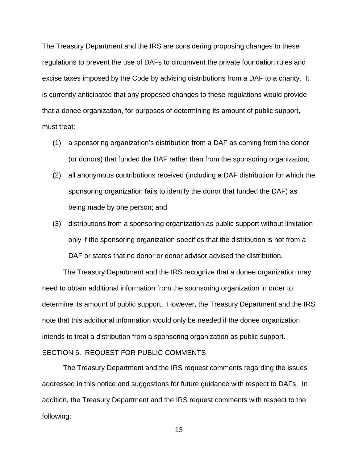The Treasury Department and the IRS are considering proposing changes to these regulations to prevent the use of DAFs to circumvent the private foundation rules and excise taxes imposed by the Code by advising distributions from a DAF to a charity. It is currently anticipated that any proposed changes to these regulations would provide that a donee organization, for purposes of determining its amount of public support, must treat:

- (1) a sponsoring organization's distribution from a DAF as coming from the donor (or donors) that funded the DAF rather than from the sponsoring organization;
- (2) all anonymous contributions received (including a DAF distribution for which the sponsoring organization fails to identify the donor that funded the DAF) as being made by one person; and
- (3) distributions from a sponsoring organization as public support without limitation only if the sponsoring organization specifies that the distribution is not from a DAF or states that no donor or donor advisor advised the distribution.

The Treasury Department and the IRS recognize that a donee organization may need to obtain additional information from the sponsoring organization in order to determine its amount of public support. However, the Treasury Department and the IRS note that this additional information would only be needed if the donee organization intends to treat a distribution from a sponsoring organization as public support. SECTION 6. REQUEST FOR PUBLIC COMMENTS

The Treasury Department and the IRS request comments regarding the issues addressed in this notice and suggestions for future guidance with respect to DAFs. In addition, the Treasury Department and the IRS request comments with respect to the following: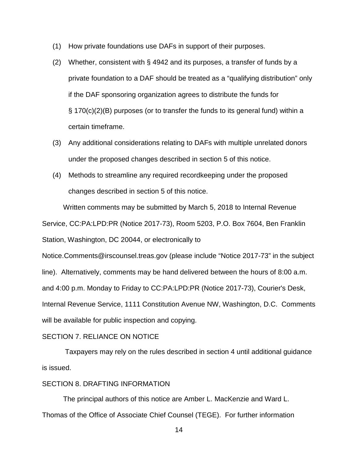- (1) How private foundations use DAFs in support of their purposes.
- (2) Whether, consistent with § 4942 and its purposes, a transfer of funds by a private foundation to a DAF should be treated as a "qualifying distribution" only if the DAF sponsoring organization agrees to distribute the funds for § 170(c)(2)(B) purposes (or to transfer the funds to its general fund) within a certain timeframe.
- (3) Any additional considerations relating to DAFs with multiple unrelated donors under the proposed changes described in section 5 of this notice.
- (4) Methods to streamline any required recordkeeping under the proposed changes described in section 5 of this notice.

Written comments may be submitted by March 5, 2018 to Internal Revenue Service, CC:PA:LPD:PR (Notice 2017-73), Room 5203, P.O. Box 7604, Ben Franklin Station, Washington, DC 20044, or electronically to

Notice.Comments@irscounsel.treas.gov (please include "Notice 2017-73" in the subject line). Alternatively, comments may be hand delivered between the hours of 8:00 a.m. and 4:00 p.m. Monday to Friday to CC:PA:LPD:PR (Notice 2017-73), Courier's Desk, Internal Revenue Service, 1111 Constitution Avenue NW, Washington, D.C. Comments will be available for public inspection and copying.

### SECTION 7. RELIANCE ON NOTICE

Taxpayers may rely on the rules described in section 4 until additional guidance is issued.

## SECTION 8. DRAFTING INFORMATION

The principal authors of this notice are Amber L. MacKenzie and Ward L. Thomas of the Office of Associate Chief Counsel (TEGE). For further information